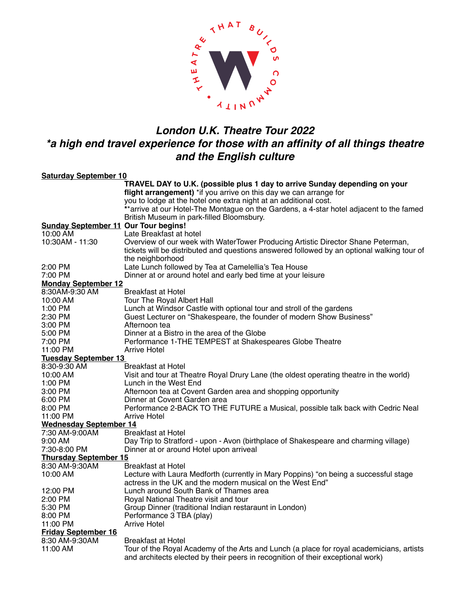

## *London U.K. Theatre Tour 2022 \*a high end travel experience for those with an affinity of all things theatre and the English culture*

| <b>Saturday September 10</b>                |                                                                                                                                                                             |
|---------------------------------------------|-----------------------------------------------------------------------------------------------------------------------------------------------------------------------------|
|                                             | TRAVEL DAY to U.K. (possible plus 1 day to arrive Sunday depending on your                                                                                                  |
|                                             | flight arrangement) *if you arrive on this day we can arrange for                                                                                                           |
|                                             | you to lodge at the hotel one extra night at an additional cost.                                                                                                            |
|                                             | **arrive at our Hotel-The Montague on the Gardens, a 4-star hotel adjacent to the famed                                                                                     |
|                                             | British Museum in park-filled Bloomsbury.                                                                                                                                   |
| <b>Sunday September 11 Our Tour begins!</b> |                                                                                                                                                                             |
| 10:00 AM                                    | Late Breakfast at hotel                                                                                                                                                     |
| 10:30AM - 11:30                             | Overview of our week with WaterTower Producing Artistic Director Shane Peterman,                                                                                            |
|                                             | tickets will be distributed and questions answered followed by an optional walking tour of                                                                                  |
|                                             | the neighborhood                                                                                                                                                            |
| 2:00 PM                                     | Late Lunch followed by Tea at Camelellia's Tea House                                                                                                                        |
| 7:00 PM                                     | Dinner at or around hotel and early bed time at your leisure                                                                                                                |
| <b>Monday September 12</b>                  |                                                                                                                                                                             |
| 8:30AM-9:30 AM                              | Breakfast at Hotel                                                                                                                                                          |
| 10:00 AM                                    | <b>Tour The Royal Albert Hall</b>                                                                                                                                           |
| 1:00 PM                                     | Lunch at Windsor Castle with optional tour and stroll of the gardens                                                                                                        |
| 2:30 PM                                     | Guest Lecturer on "Shakespeare, the founder of modern Show Business"                                                                                                        |
| 3:00 PM                                     | Afternoon tea                                                                                                                                                               |
| 5:00 PM                                     | Dinner at a Bistro in the area of the Globe                                                                                                                                 |
| 7:00 PM                                     | Performance 1-THE TEMPEST at Shakespeares Globe Theatre                                                                                                                     |
| 11:00 PM                                    | Arrive Hotel                                                                                                                                                                |
| <b>Tuesday September 13</b>                 |                                                                                                                                                                             |
| 8:30-9:30 AM                                | Breakfast at Hotel                                                                                                                                                          |
| 10:00 AM                                    | Visit and tour at Theatre Royal Drury Lane (the oldest operating theatre in the world)                                                                                      |
| 1:00 PM                                     | Lunch in the West End                                                                                                                                                       |
| 3:00 PM                                     | Afternoon tea at Covent Garden area and shopping opportunity                                                                                                                |
| 6:00 PM                                     | Dinner at Covent Garden area                                                                                                                                                |
| 8:00 PM                                     | Performance 2-BACK TO THE FUTURE a Musical, possible talk back with Cedric Neal                                                                                             |
| 11:00 PM                                    | <b>Arrive Hotel</b>                                                                                                                                                         |
| <b>Wednesday September 14</b>               |                                                                                                                                                                             |
| 7:30 AM-9:00AM                              | Breakfast at Hotel                                                                                                                                                          |
| $9:00 \, \text{AM}$                         | Day Trip to Stratford - upon - Avon (birthplace of Shakespeare and charming village)                                                                                        |
| 7:30-8:00 PM                                | Dinner at or around Hotel upon arriveal                                                                                                                                     |
| <b>Thursday September 15</b>                |                                                                                                                                                                             |
| 8:30 AM-9:30AM                              | Breakfast at Hotel                                                                                                                                                          |
| 10:00 AM                                    | Lecture with Laura Medforth (currently in Mary Poppins) "on being a successful stage                                                                                        |
|                                             | actress in the UK and the modern musical on the West End"                                                                                                                   |
| 12:00 PM                                    | Lunch around South Bank of Thames area                                                                                                                                      |
| 2:00 PM                                     | Royal National Theatre visit and tour                                                                                                                                       |
| 5:30 PM                                     | Group Dinner (traditional Indian restaraunt in London)                                                                                                                      |
| 8:00 PM                                     | Performance 3 TBA (play)                                                                                                                                                    |
| 11:00 PM                                    | <b>Arrive Hotel</b>                                                                                                                                                         |
| <b>Friday September 16</b>                  |                                                                                                                                                                             |
| 8:30 AM-9:30AM                              | Breakfast at Hotel                                                                                                                                                          |
| 11:00 AM                                    | Tour of the Royal Academy of the Arts and Lunch (a place for royal academicians, artists<br>and architects elected by their peers in recognition of their exceptional work) |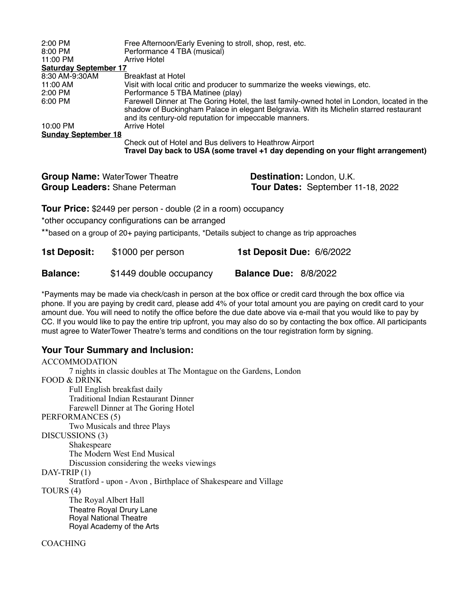| 2:00 PM                      | Free Afternoon/Early Evening to stroll, shop, rest, etc.                                                                                                                                                                                       |  |  |
|------------------------------|------------------------------------------------------------------------------------------------------------------------------------------------------------------------------------------------------------------------------------------------|--|--|
| 8:00 PM                      | Performance 4 TBA (musical)                                                                                                                                                                                                                    |  |  |
| 11:00 PM                     | Arrive Hotel                                                                                                                                                                                                                                   |  |  |
| <b>Saturday September 17</b> |                                                                                                                                                                                                                                                |  |  |
| 8:30 AM-9:30AM               | Breakfast at Hotel                                                                                                                                                                                                                             |  |  |
| 11:00 AM                     | Visit with local critic and producer to summarize the weeks viewings, etc.                                                                                                                                                                     |  |  |
| 2:00 PM                      | Performance 5 TBA Matinee (play)                                                                                                                                                                                                               |  |  |
| 6:00 PM                      | Farewell Dinner at The Goring Hotel, the last family-owned hotel in London, located in the<br>shadow of Buckingham Palace in elegant Belgravia. With its Michelin starred restaurant<br>and its century-old reputation for impeccable manners. |  |  |
| 10:00 PM                     | Arrive Hotel                                                                                                                                                                                                                                   |  |  |
| <b>Sunday September 18</b>   |                                                                                                                                                                                                                                                |  |  |
|                              | Check out of Hotel and Bus delivers to Heathrow Airport                                                                                                                                                                                        |  |  |
|                              | Travel Day back to USA (some travel +1 day depending on your flight arrangement)                                                                                                                                                               |  |  |

| <b>Group Name: WaterTower Theatre</b> | Destination: London, U.K.         |
|---------------------------------------|-----------------------------------|
| <b>Group Leaders: Shane Peterman</b>  | Tour Dates: September 11-18, 2022 |

**Tour Price:** \$2449 per person - double (2 in a room) occupancy

\*other occupancy configurations can be arranged

\*\*based on a group of 20+ paying participants, \*Details subject to change as trip approaches

| 1st Deposit:    | \$1000 per person       | <b>1st Deposit Due: 6/6/2022</b> |
|-----------------|-------------------------|----------------------------------|
| <b>Balance:</b> | \$1449 double occupancy | <b>Balance Due: 8/8/2022</b>     |

\*Payments may be made via check/cash in person at the box office or credit card through the box office via phone. If you are paying by credit card, please add 4% of your total amount you are paying on credit card to your amount due. You will need to notify the office before the due date above via e-mail that you would like to pay by CC. If you would like to pay the entire trip upfront, you may also do so by contacting the box office. All participants must agree to WaterTower Theatre's terms and conditions on the tour registration form by signing.

## **Your Tour Summary and Inclusion:**

ACCOMMODATION 7 nights in classic doubles at The Montague on the Gardens, London FOOD & DRINK Full English breakfast daily Traditional Indian Restaurant Dinner Farewell Dinner at The Goring Hotel PERFORMANCES (5) Two Musicals and three Plays DISCUSSIONS (3) Shakespeare The Modern West End Musical Discussion considering the weeks viewings DAY-TRIP (1) Stratford - upon - Avon , Birthplace of Shakespeare and Village TOURS (4) The Royal Albert Hall Theatre Royal Drury Lane Royal National Theatre Royal Academy of the Arts COACHING